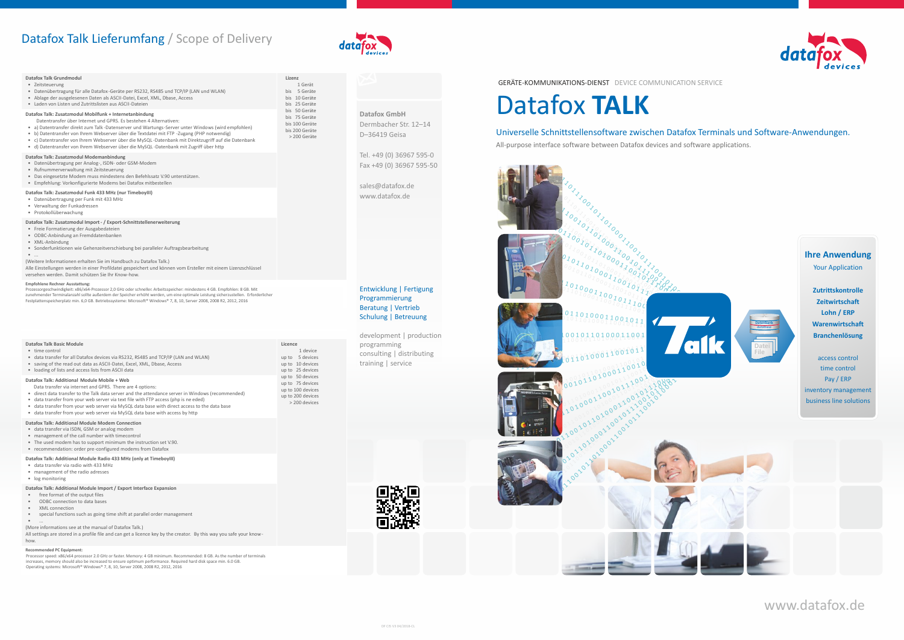# Datafox Talk Lieferumfang / Scope of Delivery



www.datafox.de

GERÄTE-KOMMUNIKATIONS-DIENST DEVICE COMMUNICATION SERVICE

### **Datafox GmbH**

Dermbacher Str. 12–14 D–36419 Geisa

Tel. +49 (0) 36967 595-0 Fax +49 (0) 36967 595-50

sales@datafox.de www.datafox.de



development | production programming consulting | distributing training | service

# Entwicklung | Fertigung Programmierung Beratung | Vertrieb Schulung | Betreuung

#### **Datafox Talk Grundmodul** • Zeitsteuerung • Datenübertragung für alle Datafox -Geräte per RS232, RS485 und TCP/IP (LAN und WLAN) • Ablage der ausgelesenen Daten als ASCII-Datei, Excel, XML, Dbase, Access

• Laden von Listen und Zutrittslisten aus ASCII-Dateien

**Lizenz** 1 Gerät bis 5 Geräte bis 10 Geräte bis 25 Geräte bis 50 Geräte bis 75 Geräte bis 100 Geräte bis 200 Geräte > 200 Geräte

# **Datafox Talk: Zusatzmodul Mobilfunk + Internetanbindung**

- Datentransfer über Internet und GPRS. Es bestehen 4 Alternativen:
- a) Datentransfer direkt zum Talk -Datenserver und Wartungs-Server unter Windows (wird empfohlen)
- b) Datentransfer von Ihrem Webserver über die Textdatei mit FTP -Zugang (PHP notwendig)
- c) Datentransfer von Ihrem Webserver über die MySQL -Datenbank mit Direktzugriff auf die Datenbank
- d) Datentransfer von Ihrem Webserver über die MySQL -Datenbank mit Zugriff über http

#### **Datafox Talk: Zusatzmodul Modemanbindung**

- Datenübertragung per Analog-, ISDN- oder GSM-Modem
- Rufnummerverwaltung mit Zeitsteuerung
- Das eingesetzte Modem muss mindestens den Befehlssatz V.90 unterstützen.
- Empfehlung: Vorkonfigurierte Modems bei Datafox mitbestellen

- free format of the output files • ODBC connection to data bases
- XML connection
- 
- special functions such as going time shift at parallel order management  $\bullet$  .

## **Datafox Talk: Zusatzmodul Funk 433 MHz (nur TimeboyIII)**

- Datenübertragung per Funk mit 433 MHz
- Verwaltung der Funkadressen
- Protokollüberwachung

# **Datafox Talk: Zusatzmodul Import- / Export-Schnittstellenerweiterung**

- Freie Formatierung der Ausgabedateien
- ODBC-Anbindung an Fremddatenbanken
- XML-Anbindung • Sonderfunktionen wie Gehenzeitverschiebung bei paralleler Auftragsbearbeitung
- $\bullet$  ...
- (Weitere Informationen erhalten Sie im Handbuch zu Datafox Talk.)

Alle Einstellungen werden in einer Profildatei gespeichert und können vom Ersteller mit einem Lizenzschlüssel versehen werden. Damit schützen Sie Ihr Know-how.

#### **Empfohlene Rechner Ausstattung:**



Prozessorgeschwindigkeit: x86/x64-Prozessor 2,0 GHz oder schneller. Arbeitsspeicher: mindestens 4 GB. Empfohlen: 8 GB. Mit zunehmender Terminalanzahl sollte außerdem der Speicher erhöht werden, um eine optimale Leistung sicherzustellen. Erforderlicher Festplattenspeicherplatz min. 6,0 GB. Betriebssysteme: Microsoft® Windows® 7, 8, 10, Server 2008, 2008 R2, 2012, 2016

| Datafox Talk Basic Module<br>• time control<br>• data transfer for all Datafox devices via RS232, RS485 and TCP/IP (LAN and WLAN)<br>• saving of the read out data as ASCII-Datei, Excel, XML, Dbase, Access<br>. loading of lists and access lists from ASCII data                                                                                                                                                                                                                   | Licence<br>1 device<br>5 devices<br>up to<br>up to 10 devices<br>up to 25 devices<br>up to 50 devices<br>up to 75 devices<br>up to 100 devices<br>up to 200 devices<br>> 200 devices |
|---------------------------------------------------------------------------------------------------------------------------------------------------------------------------------------------------------------------------------------------------------------------------------------------------------------------------------------------------------------------------------------------------------------------------------------------------------------------------------------|--------------------------------------------------------------------------------------------------------------------------------------------------------------------------------------|
| Datafox Talk: Additional Module Mobile + Web<br>Data transfer via internet and GPRS. There are 4 options:<br>• direct data transfer to the Talk data server and the attendance server in Windows (recommended)<br>• data transfer from your web server via text file with FTP access (php is ne eded)<br>• data transfer from your web server via MySQL data base with direct access to the data base<br>• data transfer from your web server via MySQL data base with access by http |                                                                                                                                                                                      |
| Datafox Talk: Additional Module Modem Connection                                                                                                                                                                                                                                                                                                                                                                                                                                      |                                                                                                                                                                                      |

- data transfer via ISDN, GSM or analog modem
- management of the call number with timecontrol
- The used modem has to support minimum the instruction set V.90.
- recommendation: order pre-configured modems from Datafox

## **Datafox Talk: Additional Module Radio 433 MHz (only at TimeboyIII)**

- data transfer via radio with 433 MHz
- management of the radio adresses • log monitoring
- 

# **Datafox Talk: Additional Module Import / Export Interface Expansion**

## (More informations see at the manual of Datafox Talk.)

All settings are stored in a profile file and can get a licence key by the creator. By this way you safe your knowhow.

#### **Recommended PC Equipment:**

# Datafox **TALK**

# Universelle Schnittstellensoftware zwischen Datafox Terminals und Software-Anwendungen.

All-purpose interface software between Datafox devices and software applications.

Processor speed: x86/x64 processor 2.0 GHz or faster. Memory: 4 GB minimum. Recommended: 8 GB. As the number of terminals increases, memory should also be increased to ensure optimum performance. Required hard disk space min. 6.0 GB. Operating systems: Microsoft® Windows® 7, 8, 10, Server 2008, 2008 R2, 2012, 2016